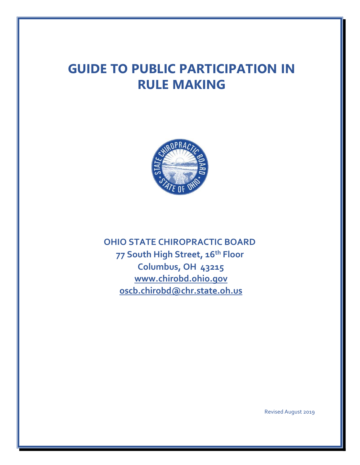# **GUIDE TO PUBLIC PARTICIPATION IN RULE MAKING**



**OHIO STATE CHIROPRACTIC BOARD 77 South High Street, 16th Floor Columbus, OH 43215 [www.chirobd.ohio.gov](http://www.chirobd.ohio.gov/) oscb.chirobd@chr.state.oh.us**

Revised August 2019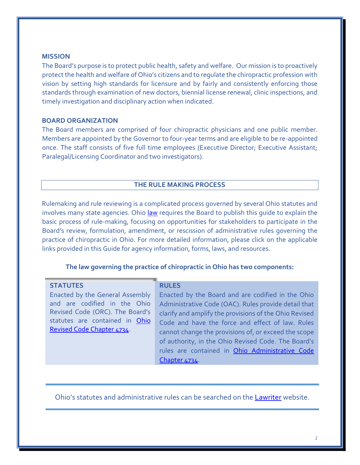# **MISSION**

The Board's purpose is to protect public health, safety and welfare. Our mission is to proactively protect the health and welfare of Ohio's citizens and to regulate the chiropractic profession with vision by setting high standards for licensure and by fairly and consistently enforcing those standards through examination of new doctors, biennial license renewal, clinic inspections, and timely investigation and disciplinary action when indicated.

# **BOARD ORGANIZATION**

The Board members are comprised of four chiropractic physicians and one public member. Members are appointed by the Governor to four-year terms and are eligible to be re-appointed once. The staff consists of five full time employees (Executive Director; Executive Assistant; Paralegal/Licensing Coordinator and two investigators).

## **THE RULE MAKING PROCESS**

Rulemaking and rule reviewing is a complicated process governed by several Ohio statutes and involves many state agencies. Ohio [law](http://codes.ohio.gov/orc/119.0311) [r](http://codes.ohio.gov/orc/119.0311)equires the Board to publish this guide to explain the basic process of rule-making, focusing on opportunities for stakeholders to participate in the Board's review, formulation, amendment, or rescission of administrative rules governing the practice of chiropractic in Ohio. For more detailed information, please click on the applicable links provided in this Guide for agency information, forms, laws, and resources.

## **The law governing the practice of chiropractic in Ohio has two components:**

| <b>STATUTES</b><br>Enacted by the General Assembly<br>and are codified in the Ohio<br>Revised Code (ORC). The Board's<br>statutes are contained in Ohio<br>Revised Code Chapter 4734. | <b>RULES</b><br>Enacted by the Board and are codified in the Ohio<br>Administrative Code (OAC). Rules provide detail that<br>clarify and amplify the provisions of the Ohio Revised<br>Code and have the force and effect of law. Rules<br>cannot change the provisions of, or exceed the scope<br>of authority, in the Ohio Revised Code. The Board's<br>rules are contained in Ohio Administrative Code<br>Chapter 4734. |
|---------------------------------------------------------------------------------------------------------------------------------------------------------------------------------------|----------------------------------------------------------------------------------------------------------------------------------------------------------------------------------------------------------------------------------------------------------------------------------------------------------------------------------------------------------------------------------------------------------------------------|
|                                                                                                                                                                                       |                                                                                                                                                                                                                                                                                                                                                                                                                            |

Ohio's statutes and administrative rules can be searched on the [Lawriter](http://codes.ohio.gov/) website.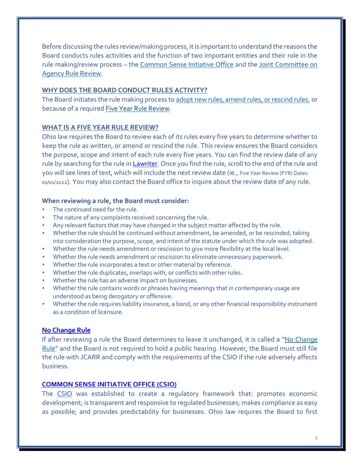Before discussing the rules review/making process, it is important to understand the reasons the Board conducts rules activities and the function of two important entities and their role in the rule making/review process – the [Common Sense Initiative Office](https://governor.ohio.gov/wps/portal/gov/governor/priorities/common-sense-initiative) and the [Joint Committee on](http://www.jcarr.state.oh.us/)  [Agency Rule Review](http://www.jcarr.state.oh.us/)[.](http://www.jcarr.state.oh.us/home)

# **WHY DOES THE BOARD CONDUCT RULES ACTIVITY?**

The Board initiates the rule making process t[o adopt new rules, amend rules, or rescind rules,](http://codes.ohio.gov/orc/119.03v2) or because of a required [Five Year Rule Review.](http://codes.ohio.gov/orc/106.03v2)

# **WHAT IS A FIVE YEAR RULE REVIEW?**

Ohio law requires the Board to review each of its rules every five years to determine whether to keep the rule as written, or amend or rescind the rule. This review ensures the Board considers the purpose, scope and intent of each rule every five years. You can find the review date of any rule by searching for the rule in **Lawriter**. Once you find the rule, scroll to the end of the rule and you will see lines of text, which will include the next review date (ie., Five Year Review (FYR) Dates: 01/01/2022). You may also contact the Board office to inquire about the review date of any rule.

# **When reviewing a rule, the Board must consider:**

- The continued need for the rule.
- The nature of any complaints received concerning the rule.
- Any relevant factors that may have changed in the subject matter affected by the rule.
- Whether the rule should be continued without amendment, be amended, or be rescinded, taking into consideration the purpose, scope, and intent of the statute under which the rule was adopted.
- Whether the rule needs amendment or rescission to give more flexibility at the local level.
- Whether the rule needs amendment or rescission to eliminate unnecessary paperwork.
- Whether the rule incorporates a text or other material by reference.
- Whether the rule duplicates, overlaps with, or conflicts with other rules.
- Whether the rule has an adverse impact on businesses.
- Whether the rule contains words or phrases having meanings that in contemporary usage are understood as being derogatory or offensive.
- Whether the rule requires liability insurance, a bond, or any other financial responsibility instrument as a condition of licensure.

# **[No Change Rule](http://codes.ohio.gov/orc/106.031)**

If after reviewing a rule the Board determines to leave it unchanged, it is called a "[No Change](http://codes.ohio.gov/orc/106.031v2)  [Rule](http://codes.ohio.gov/orc/106.031v2)" and the Board is not required to hold a public hearing. However, the Board must still file the rule with JCARR and comply with the requirements of the CSIO if the rule adversely affects business.

# **[COMMON SENSE INITIATIVE OFFICE \(CSIO\)](http://governor.ohio.gov/PrioritiesandInitiatives/CommonSenseInitiative.aspx)**

The [CSIO](https://governor.ohio.gov/wps/portal/gov/governor/priorities/common-sense-initiative) was established to create a regulatory framework that: promotes economic development; is transparent and responsive to regulated businesses; makes compliance as easy as possible; and provides predictability for businesses. Ohio law requires the Board to first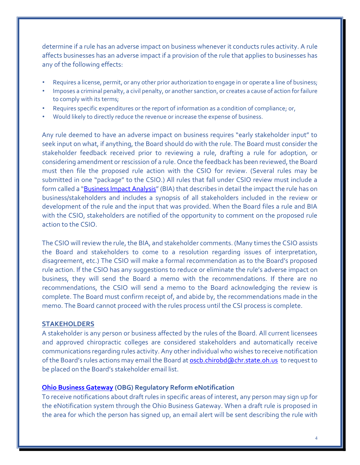determine if a rule has an adverse impact on business whenever it conducts rules activity. A rule affects businesses has an adverse impact if a provision of the rule that applies to businesses has any of the following effects:

- Requires a license, permit, or any other prior authorization to engage in or operate a line of business;
- Imposes a criminal penalty, a civil penalty, or another sanction, or creates a cause of action for failure to comply with its terms;
- Requires specific expenditures or the report of information as a condition of compliance; or,
- Would likely to directly reduce the revenue or increase the expense of business.

Any rule deemed to have an adverse impact on business requires "early stakeholder input" to seek input on what, if anything, the Board should do with the rule. The Board must consider the stakeholder feedback received prior to reviewing a rule, drafting a rule for adoption, or considering amendment or rescission of a rule. Once the feedback has been reviewed, the Board must then file the proposed rule action with the CSIO for review. (Several rules may be submitted in one "package" to the CSIO.) All rules that fall under CSIO review must include a form called a ["](http://www.registerofohio.state.oh.us/pdfs/docs/CSI_BIA.pdf)**[Business Impact Analysis](http://www.registerofohio.state.oh.us/pdfs/docs/CSI_BIA.pdf)**" (BIA) that describes in detail the impact the rule has on business/stakeholders and includes a synopsis of all stakeholders included in the review or development of the rule and the input that was provided. When the Board files a rule and BIA with the CSIO, stakeholders are notified of the opportunity to comment on the proposed rule action to the CSIO.

The CSIO will review the rule, the BIA, and stakeholder comments. (Many times the CSIO assists the Board and stakeholders to come to a resolution regarding issues of interpretation, disagreement, etc.) The CSIO will make a formal recommendation as to the Board's proposed rule action. If the CSIO has any suggestions to reduce or eliminate the rule's adverse impact on business, they will send the Board a memo with the recommendations. If there are no recommendations, the CSIO will send a memo to the Board acknowledging the review is complete. The Board must confirm receipt of, and abide by, the recommendations made in the memo. The Board cannot proceed with the rules process until the CSI process is complete.

#### **STAKEHOLDERS**

A stakeholder is any person or business affected by the rules of the Board. All current licensees and approved chiropractic colleges are considered stakeholders and automatically receive communications regarding rules activity. Any other individual who wishes to receive notification of the Board's rules actions may email the Board at oscb.chirobd@chr.state.oh.us to request to be placed on the Board's stakeholder email list.

## **[Ohio Business Gateway](http://business.ohio.gov/) (OBG) Regulatory Reform eNotification**

To receive notifications about draft rules in specific areas of interest, any person may sign up for the eNotification system through the Ohio Business Gateway. When a draft rule is proposed in the area for which the person has signed up, an email alert will be sent describing the rule with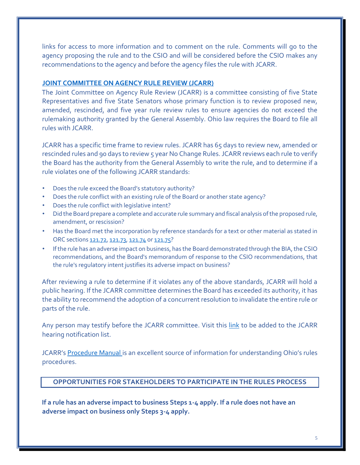links for access to more information and to comment on the rule. Comments will go to the agency proposing the rule and to the CSIO and will be considered before the CSIO makes any recommendations to the agency and before the agency files the rule with JCARR.

## **[JOINT COMMITTEE ON AGENCY RULE REVIEW \(JCARR\)](http://www.jcarr.state.oh.us/)**

The Joint Committee on Agency Rule Review (JCARR) is a committee consisting of five State Representatives and five State Senators whose primary function is to review proposed new, amended, rescinded, and five year rule review rules to ensure agencies do not exceed the rulemaking authority granted by the General Assembly. Ohio law requires the Board to file all rules with JCARR.

JCARR has a specific time frame to review rules. JCARR has 65 days to review new, amended or rescinded rules and 90 days to review 5 year No Change Rules. JCARR reviews each rule to verify the Board has the authority from the General Assembly to write the rule, and to determine if a rule violates one of the following JCARR standards:

- Does the rule exceed the Board's statutory authority?
- Does the rule conflict with an existing rule of the Board or another state agency?
- Does the rule conflict with legislative intent?
- Did the Board prepare a complete and accurate rule summary and fiscal analysis of the proposed rule, amendment, or rescission?
- Has the Board met the incorporation by reference standards for a text or other material as stated in ORC sections [121.72,](http://codes.ohio.gov/orc/121.72v2) [121.73,](http://codes.ohio.gov/orc/121.73v2) [121.74](http://codes.ohio.gov/orc/121.74v2) o[r 121.75](http://codes.ohio.gov/orc/121.75v2)[?](http://codes.ohio.gov/orc/121.76)
- If the rule has an adverse impact on business, has the Board demonstrated through the BIA, the CSIO recommendations, and the Board's memorandum of response to the CSIO recommendations, that the rule's regulatory intent justifies its adverse impact on business?

After reviewing a rule to determine if it violates any of the above standards, JCARR will hold a public hearing. If the JCARR committee determines the Board has exceeded its authority, it has the ability to recommend the adoption of a concurrent resolution to invalidate the entire rule or parts of the rule.

Any person may testify before the JCARR committee. Visit this [link](http://www.jcarr.state.oh.us/about/jcarr-mailing-list) to be added to the JCARR hearing notification list.

JCARR's [Procedure Manual](http://www.jcarr.state.oh.us/filers/procedures-manual) is an excellent source of information for understanding Ohio's rules procedures.

# **OPPORTUNITIES FOR STAKEHOLDERS TO PARTICIPATE IN THE RULES PROCESS**

**If a rule has an adverse impact to business Steps 1-4 apply. If a rule does not have an adverse impact on business only Steps 3-4 apply.**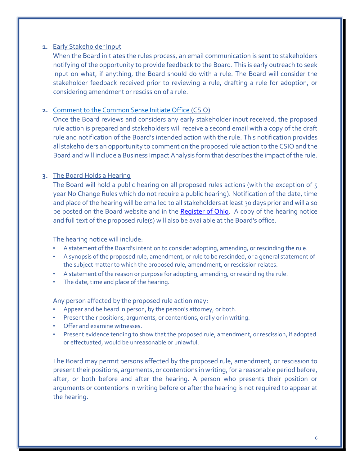## **1.** Early Stakeholder Input

When the Board initiates the rules process, an email communication is sent to stakeholders notifying of the opportunity to provide feedback to the Board. This is early outreach to seek input on what, if anything, the Board should do with a rule. The Board will consider the stakeholder feedback received prior to reviewing a rule, drafting a rule for adoption, or considering amendment or rescission of a rule.

# **2.** [Comment to the Common Sense Initiate Office](https://governor.ohio.gov/wps/portal/gov/governor/priorities/common-sense-initiative) (CSIO)

Once the Board reviews and considers any early stakeholder input received, the proposed rule action is prepared and stakeholders will receive a second email with a copy of the draft rule and notification of the Board's intended action with the rule. This notification provides all stakeholders an opportunity to comment on the proposed rule action to the CSIO and the Board and will include a Business Impact Analysis form that describes the impact of the rule.

# **3.** The Board Holds a Hearing

The Board will hold a public hearing on all proposed rules actions (with the exception of 5 year No Change Rules which do not require a public hearing). Notification of the date, time and place of the hearing will be emailed to all stakeholders at least 30 days prior and will also be posted on the Board website and in the [Register of Ohio.](http://www.registerofohio.state.oh.us/) A copy of the hearing notice and full text of the proposed rule(s) will also be available at the Board's office.

The hearing notice will include:

- A statement of the Board's intention to consider adopting, amending, or rescinding the rule.
- A synopsis of the proposed rule, amendment, or rule to be rescinded, or a general statement of the subject matter to which the proposed rule, amendment, or rescission relates.
- A statement of the reason or purpose for adopting, amending, or rescinding the rule.
- The date, time and place of the hearing.

Any person affected by the proposed rule action may:

- Appear and be heard in person, by the person's attorney, or both.
- Present their positions, arguments, or contentions, orally or in writing.
- Offer and examine witnesses.
- Present evidence tending to show that the proposed rule, amendment, or rescission, if adopted or effectuated, would be unreasonable or unlawful.

The Board may permit persons affected by the proposed rule, amendment, or rescission to present their positions, arguments, or contentions in writing, for a reasonable period before, after, or both before and after the hearing. A person who presents their position or arguments or contentions in writing before or after the hearing is not required to appear at the hearing.